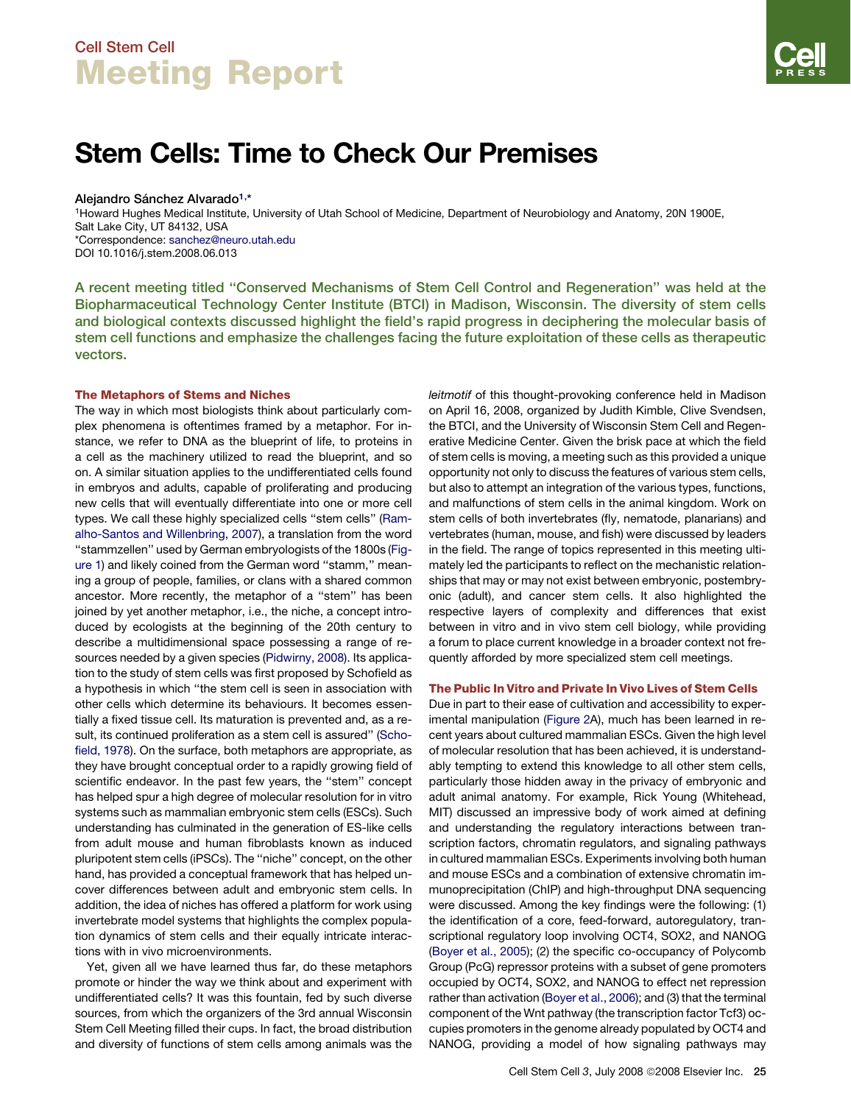# Stem Cells: Time to Check Our Premises

## Alejandro Sánchez Alvarado<sup>1,\*</sup>

1Howard Hughes Medical Institute, University of Utah School of Medicine, Department of Neurobiology and Anatomy, 20N 1900E, Salt Lake City, UT 84132, USA \*Correspondence: [sanchez@neuro.utah.edu](mailto:sanchez@neuro.utah.edu) DOI 10.1016/j.stem.2008.06.013

A recent meeting titled ''Conserved Mechanisms of Stem Cell Control and Regeneration'' was held at the Biopharmaceutical Technology Center Institute (BTCI) in Madison, Wisconsin. The diversity of stem cells and biological contexts discussed highlight the field's rapid progress in deciphering the molecular basis of stem cell functions and emphasize the challenges facing the future exploitation of these cells as therapeutic vectors.

### The Metaphors of Stems and Niches

The way in which most biologists think about particularly complex phenomena is oftentimes framed by a metaphor. For instance, we refer to DNA as the blueprint of life, to proteins in a cell as the machinery utilized to read the blueprint, and so on. A similar situation applies to the undifferentiated cells found in embryos and adults, capable of proliferating and producing new cells that will eventually differentiate into one or more cell types. We call these highly specialized cells ''stem cells'' [\(Ram](#page-4-0)[alho-Santos and Willenbring, 2007](#page-4-0)), a translation from the word ''stammzellen'' used by German embryologists of the 1800s [\(Fig](#page-1-0)[ure 1](#page-1-0)) and likely coined from the German word ''stamm,'' meaning a group of people, families, or clans with a shared common ancestor. More recently, the metaphor of a ''stem'' has been joined by yet another metaphor, i.e., the niche, a concept introduced by ecologists at the beginning of the 20th century to describe a multidimensional space possessing a range of resources needed by a given species ([Pidwirny, 2008\)](#page-4-0). Its application to the study of stem cells was first proposed by Schofield as a hypothesis in which ''the stem cell is seen in association with other cells which determine its behaviours. It becomes essentially a fixed tissue cell. Its maturation is prevented and, as a result, its continued proliferation as a stem cell is assured'' [\(Scho](#page-4-0)[field, 1978](#page-4-0)). On the surface, both metaphors are appropriate, as they have brought conceptual order to a rapidly growing field of scientific endeavor. In the past few years, the ''stem'' concept has helped spur a high degree of molecular resolution for in vitro systems such as mammalian embryonic stem cells (ESCs). Such understanding has culminated in the generation of ES-like cells from adult mouse and human fibroblasts known as induced pluripotent stem cells (iPSCs). The ''niche'' concept, on the other hand, has provided a conceptual framework that has helped uncover differences between adult and embryonic stem cells. In addition, the idea of niches has offered a platform for work using invertebrate model systems that highlights the complex population dynamics of stem cells and their equally intricate interactions with in vivo microenvironments.

Yet, given all we have learned thus far, do these metaphors promote or hinder the way we think about and experiment with undifferentiated cells? It was this fountain, fed by such diverse sources, from which the organizers of the 3rd annual Wisconsin Stem Cell Meeting filled their cups. In fact, the broad distribution and diversity of functions of stem cells among animals was the *leitmotif* of this thought-provoking conference held in Madison on April 16, 2008, organized by Judith Kimble, Clive Svendsen, the BTCI, and the University of Wisconsin Stem Cell and Regenerative Medicine Center. Given the brisk pace at which the field of stem cells is moving, a meeting such as this provided a unique opportunity not only to discuss the features of various stem cells, but also to attempt an integration of the various types, functions, and malfunctions of stem cells in the animal kingdom. Work on stem cells of both invertebrates (fly, nematode, planarians) and vertebrates (human, mouse, and fish) were discussed by leaders in the field. The range of topics represented in this meeting ultimately led the participants to reflect on the mechanistic relationships that may or may not exist between embryonic, postembryonic (adult), and cancer stem cells. It also highlighted the respective layers of complexity and differences that exist between in vitro and in vivo stem cell biology, while providing a forum to place current knowledge in a broader context not frequently afforded by more specialized stem cell meetings.

### The Public In Vitro and Private In Vivo Lives of Stem Cells

Due in part to their ease of cultivation and accessibility to experimental manipulation ([Figure 2A](#page-1-0)), much has been learned in recent years about cultured mammalian ESCs. Given the high level of molecular resolution that has been achieved, it is understandably tempting to extend this knowledge to all other stem cells, particularly those hidden away in the privacy of embryonic and adult animal anatomy. For example, Rick Young (Whitehead, MIT) discussed an impressive body of work aimed at defining and understanding the regulatory interactions between transcription factors, chromatin regulators, and signaling pathways in cultured mammalian ESCs. Experiments involving both human and mouse ESCs and a combination of extensive chromatin immunoprecipitation (ChIP) and high-throughput DNA sequencing were discussed. Among the key findings were the following: (1) the identification of a core, feed-forward, autoregulatory, transcriptional regulatory loop involving OCT4, SOX2, and NANOG [\(Boyer et al., 2005](#page-4-0)); (2) the specific co-occupancy of Polycomb Group (PcG) repressor proteins with a subset of gene promoters occupied by OCT4, SOX2, and NANOG to effect net repression rather than activation [\(Boyer et al., 2006\)](#page-4-0); and (3) that the terminal component of the Wnt pathway (the transcription factor Tcf3) occupies promoters in the genome already populated by OCT4 and NANOG, providing a model of how signaling pathways may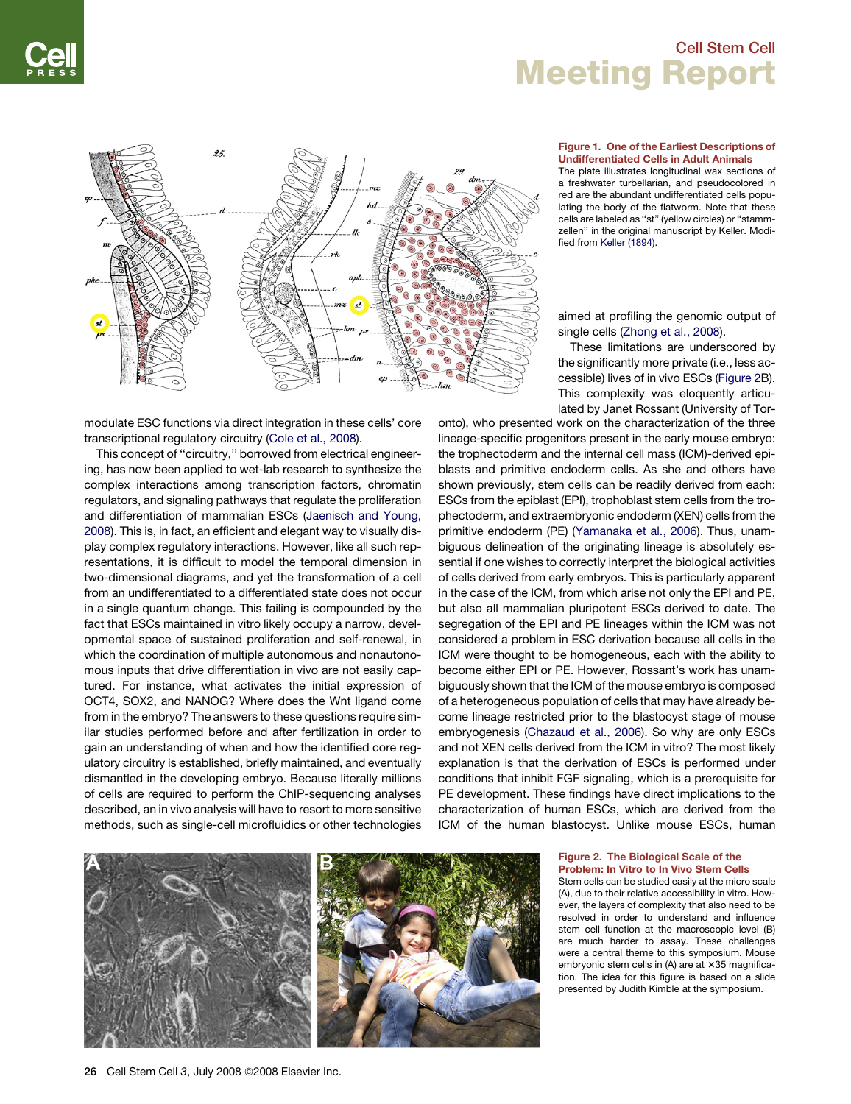<span id="page-1-0"></span>

modulate ESC functions via direct integration in these cells' core transcriptional regulatory circuitry ([Cole et al., 2008](#page-4-0)).

This concept of ''circuitry,'' borrowed from electrical engineering, has now been applied to wet-lab research to synthesize the complex interactions among transcription factors, chromatin regulators, and signaling pathways that regulate the proliferation and differentiation of mammalian ESCs [\(Jaenisch and Young,](#page-4-0) [2008](#page-4-0)). This is, in fact, an efficient and elegant way to visually display complex regulatory interactions. However, like all such representations, it is difficult to model the temporal dimension in two-dimensional diagrams, and yet the transformation of a cell from an undifferentiated to a differentiated state does not occur in a single quantum change. This failing is compounded by the fact that ESCs maintained in vitro likely occupy a narrow, developmental space of sustained proliferation and self-renewal, in which the coordination of multiple autonomous and nonautonomous inputs that drive differentiation in vivo are not easily captured. For instance, what activates the initial expression of OCT4, SOX2, and NANOG? Where does the Wnt ligand come from in the embryo? The answers to these questions require similar studies performed before and after fertilization in order to gain an understanding of when and how the identified core regulatory circuitry is established, briefly maintained, and eventually dismantled in the developing embryo. Because literally millions of cells are required to perform the ChIP-sequencing analyses described, an in vivo analysis will have to resort to more sensitive methods, such as single-cell microfluidics or other technologies

### Figure 1. One of the Earliest Descriptions of Undifferentiated Cells in Adult Animals

The plate illustrates longitudinal wax sections of a freshwater turbellarian, and pseudocolored in red are the abundant undifferentiated cells populating the body of the flatworm. Note that these cells are labeled as ''st'' (yellow circles) or ''stammzellen'' in the original manuscript by Keller. Modified from [Keller \(1894\)](#page-4-0).

aimed at profiling the genomic output of single cells ([Zhong et al., 2008](#page-4-0)).

These limitations are underscored by the significantly more private (i.e., less accessible) lives of in vivo ESCs (Figure 2B). This complexity was eloquently articulated by Janet Rossant (University of Tor-

onto), who presented work on the characterization of the three lineage-specific progenitors present in the early mouse embryo: the trophectoderm and the internal cell mass (ICM)-derived epiblasts and primitive endoderm cells. As she and others have shown previously, stem cells can be readily derived from each: ESCs from the epiblast (EPI), trophoblast stem cells from the trophectoderm, and extraembryonic endoderm (XEN) cells from the primitive endoderm (PE) ([Yamanaka et al., 2006](#page-4-0)). Thus, unambiguous delineation of the originating lineage is absolutely essential if one wishes to correctly interpret the biological activities of cells derived from early embryos. This is particularly apparent in the case of the ICM, from which arise not only the EPI and PE, but also all mammalian pluripotent ESCs derived to date. The segregation of the EPI and PE lineages within the ICM was not considered a problem in ESC derivation because all cells in the ICM were thought to be homogeneous, each with the ability to become either EPI or PE. However, Rossant's work has unambiguously shown that the ICM of the mouse embryo is composed of a heterogeneous population of cells that may have already become lineage restricted prior to the blastocyst stage of mouse embryogenesis [\(Chazaud et al., 2006\)](#page-4-0). So why are only ESCs and not XEN cells derived from the ICM in vitro? The most likely explanation is that the derivation of ESCs is performed under conditions that inhibit FGF signaling, which is a prerequisite for PE development. These findings have direct implications to the characterization of human ESCs, which are derived from the ICM of the human blastocyst. Unlike mouse ESCs, human



#### Figure 2. The Biological Scale of the Problem: In Vitro to In Vivo Stem Cells

Stem cells can be studied easily at the micro scale (A), due to their relative accessibility in vitro. However, the layers of complexity that also need to be resolved in order to understand and influence stem cell function at the macroscopic level (B) are much harder to assay. These challenges were a central theme to this symposium. Mouse embryonic stem cells in  $(A)$  are at  $\times 35$  magnification. The idea for this figure is based on a slide presented by Judith Kimble at the symposium.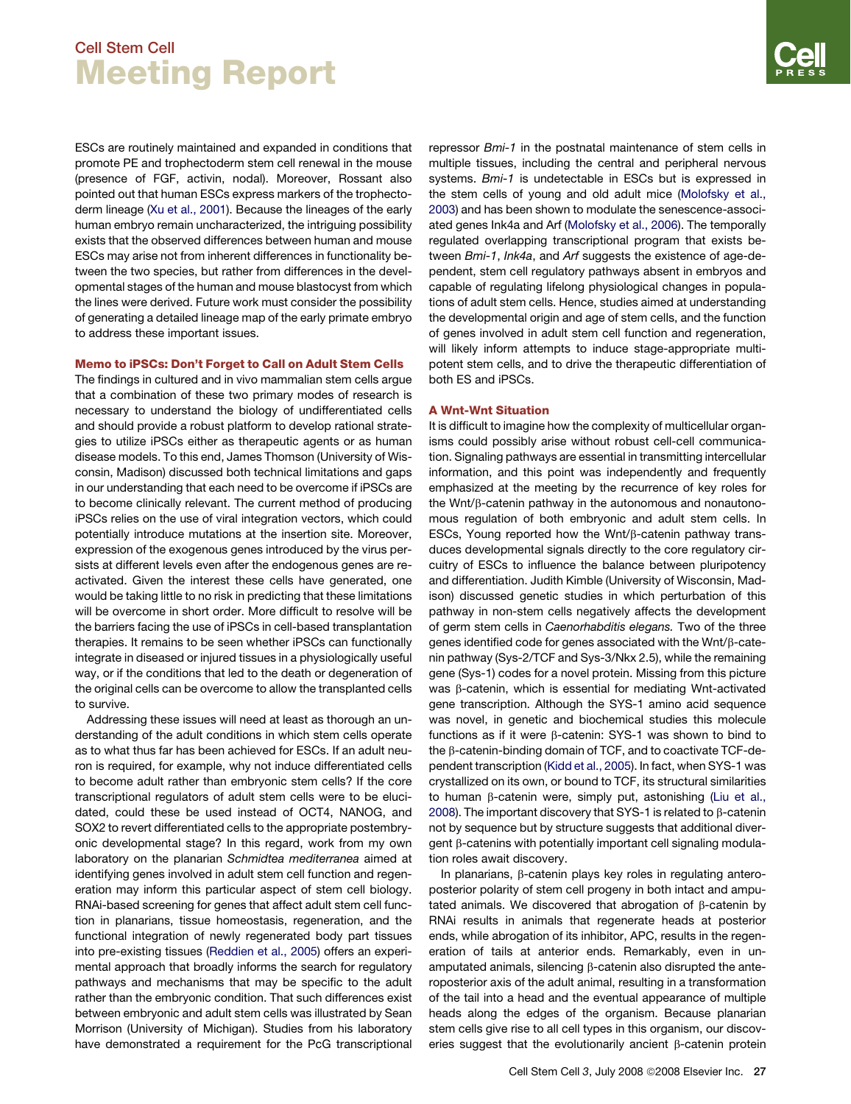ESCs are routinely maintained and expanded in conditions that promote PE and trophectoderm stem cell renewal in the mouse (presence of FGF, activin, nodal). Moreover, Rossant also pointed out that human ESCs express markers of the trophectoderm lineage ([Xu et al., 2001](#page-4-0)). Because the lineages of the early human embryo remain uncharacterized, the intriguing possibility exists that the observed differences between human and mouse ESCs may arise not from inherent differences in functionality between the two species, but rather from differences in the developmental stages of the human and mouse blastocyst from which the lines were derived. Future work must consider the possibility of generating a detailed lineage map of the early primate embryo to address these important issues.

### Memo to iPSCs: Don't Forget to Call on Adult Stem Cells

The findings in cultured and in vivo mammalian stem cells argue that a combination of these two primary modes of research is necessary to understand the biology of undifferentiated cells and should provide a robust platform to develop rational strategies to utilize iPSCs either as therapeutic agents or as human disease models. To this end, James Thomson (University of Wisconsin, Madison) discussed both technical limitations and gaps in our understanding that each need to be overcome if iPSCs are to become clinically relevant. The current method of producing iPSCs relies on the use of viral integration vectors, which could potentially introduce mutations at the insertion site. Moreover, expression of the exogenous genes introduced by the virus persists at different levels even after the endogenous genes are reactivated. Given the interest these cells have generated, one would be taking little to no risk in predicting that these limitations will be overcome in short order. More difficult to resolve will be the barriers facing the use of iPSCs in cell-based transplantation therapies. It remains to be seen whether iPSCs can functionally integrate in diseased or injured tissues in a physiologically useful way, or if the conditions that led to the death or degeneration of the original cells can be overcome to allow the transplanted cells to survive.

Addressing these issues will need at least as thorough an understanding of the adult conditions in which stem cells operate as to what thus far has been achieved for ESCs. If an adult neuron is required, for example, why not induce differentiated cells to become adult rather than embryonic stem cells? If the core transcriptional regulators of adult stem cells were to be elucidated, could these be used instead of OCT4, NANOG, and SOX2 to revert differentiated cells to the appropriate postembryonic developmental stage? In this regard, work from my own laboratory on the planarian *Schmidtea mediterranea* aimed at identifying genes involved in adult stem cell function and regeneration may inform this particular aspect of stem cell biology. RNAi-based screening for genes that affect adult stem cell function in planarians, tissue homeostasis, regeneration, and the functional integration of newly regenerated body part tissues into pre-existing tissues [\(Reddien et al., 2005\)](#page-4-0) offers an experimental approach that broadly informs the search for regulatory pathways and mechanisms that may be specific to the adult rather than the embryonic condition. That such differences exist between embryonic and adult stem cells was illustrated by Sean Morrison (University of Michigan). Studies from his laboratory have demonstrated a requirement for the PcG transcriptional repressor *Bmi-1* in the postnatal maintenance of stem cells in multiple tissues, including the central and peripheral nervous systems. *Bmi-1* is undetectable in ESCs but is expressed in the stem cells of young and old adult mice ([Molofsky et al.,](#page-4-0) [2003\)](#page-4-0) and has been shown to modulate the senescence-associated genes Ink4a and Arf ([Molofsky et al., 2006\)](#page-4-0). The temporally regulated overlapping transcriptional program that exists between *Bmi-1*, *Ink4a*, and *Arf* suggests the existence of age-dependent, stem cell regulatory pathways absent in embryos and capable of regulating lifelong physiological changes in populations of adult stem cells. Hence, studies aimed at understanding the developmental origin and age of stem cells, and the function of genes involved in adult stem cell function and regeneration, will likely inform attempts to induce stage-appropriate multipotent stem cells, and to drive the therapeutic differentiation of both ES and iPSCs.

## A Wnt-Wnt Situation

It is difficult to imagine how the complexity of multicellular organisms could possibly arise without robust cell-cell communication. Signaling pathways are essential in transmitting intercellular information, and this point was independently and frequently emphasized at the meeting by the recurrence of key roles for the Wnt/b-catenin pathway in the autonomous and nonautonomous regulation of both embryonic and adult stem cells. In ESCs, Young reported how the Wnt/ $\beta$ -catenin pathway transduces developmental signals directly to the core regulatory circuitry of ESCs to influence the balance between pluripotency and differentiation. Judith Kimble (University of Wisconsin, Madison) discussed genetic studies in which perturbation of this pathway in non-stem cells negatively affects the development of germ stem cells in *Caenorhabditis elegans.* Two of the three genes identified code for genes associated with the Wnt/b-catenin pathway (Sys-2/TCF and Sys-3/Nkx 2.5), while the remaining gene (Sys-1) codes for a novel protein. Missing from this picture was  $\beta$ -catenin, which is essential for mediating Wnt-activated gene transcription. Although the SYS-1 amino acid sequence was novel, in genetic and biochemical studies this molecule functions as if it were  $\beta$ -catenin: SYS-1 was shown to bind to the  $\beta$ -catenin-binding domain of TCF, and to coactivate TCF-dependent transcription ([Kidd et al., 2005](#page-4-0)). In fact, when SYS-1 was crystallized on its own, or bound to TCF, its structural similarities to human  $\beta$ -catenin were, simply put, astonishing ([Liu et al.,](#page-4-0) [2008\)](#page-4-0). The important discovery that SYS-1 is related to  $\beta$ -catenin not by sequence but by structure suggests that additional divergent  $\beta$ -catenins with potentially important cell signaling modulation roles await discovery.

In planarians,  $\beta$ -catenin plays key roles in regulating anteroposterior polarity of stem cell progeny in both intact and amputated animals. We discovered that abrogation of  $\beta$ -catenin by RNAi results in animals that regenerate heads at posterior ends, while abrogation of its inhibitor, APC, results in the regeneration of tails at anterior ends. Remarkably, even in unamputated animals, silencing  $\beta$ -catenin also disrupted the anteroposterior axis of the adult animal, resulting in a transformation of the tail into a head and the eventual appearance of multiple heads along the edges of the organism. Because planarian stem cells give rise to all cell types in this organism, our discoveries suggest that the evolutionarily ancient  $\beta$ -catenin protein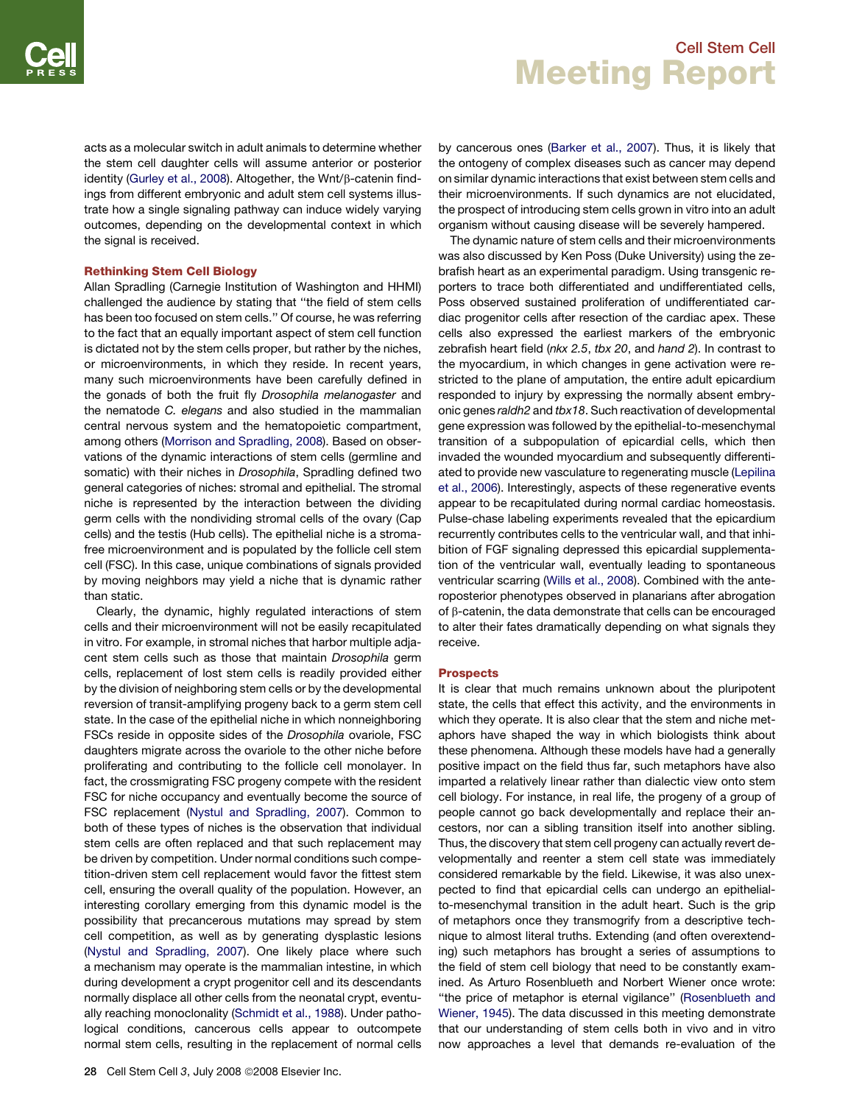acts as a molecular switch in adult animals to determine whether the stem cell daughter cells will assume anterior or posterior identity ([Gurley et al., 2008\)](#page-4-0). Altogether, the Wnt/b-catenin findings from different embryonic and adult stem cell systems illustrate how a single signaling pathway can induce widely varying outcomes, depending on the developmental context in which the signal is received.

### Rethinking Stem Cell Biology

Allan Spradling (Carnegie Institution of Washington and HHMI) challenged the audience by stating that ''the field of stem cells has been too focused on stem cells.'' Of course, he was referring to the fact that an equally important aspect of stem cell function is dictated not by the stem cells proper, but rather by the niches, or microenvironments, in which they reside. In recent years, many such microenvironments have been carefully defined in the gonads of both the fruit fly *Drosophila melanogaster* and the nematode *C. elegans* and also studied in the mammalian central nervous system and the hematopoietic compartment, among others ([Morrison and Spradling, 2008\)](#page-4-0). Based on observations of the dynamic interactions of stem cells (germline and somatic) with their niches in *Drosophila*, Spradling defined two general categories of niches: stromal and epithelial. The stromal niche is represented by the interaction between the dividing germ cells with the nondividing stromal cells of the ovary (Cap cells) and the testis (Hub cells). The epithelial niche is a stromafree microenvironment and is populated by the follicle cell stem cell (FSC). In this case, unique combinations of signals provided by moving neighbors may yield a niche that is dynamic rather than static.

Clearly, the dynamic, highly regulated interactions of stem cells and their microenvironment will not be easily recapitulated in vitro. For example, in stromal niches that harbor multiple adjacent stem cells such as those that maintain *Drosophila* germ cells, replacement of lost stem cells is readily provided either by the division of neighboring stem cells or by the developmental reversion of transit-amplifying progeny back to a germ stem cell state. In the case of the epithelial niche in which nonneighboring FSCs reside in opposite sides of the *Drosophila* ovariole, FSC daughters migrate across the ovariole to the other niche before proliferating and contributing to the follicle cell monolayer. In fact, the crossmigrating FSC progeny compete with the resident FSC for niche occupancy and eventually become the source of FSC replacement [\(Nystul and Spradling, 2007\)](#page-4-0). Common to both of these types of niches is the observation that individual stem cells are often replaced and that such replacement may be driven by competition. Under normal conditions such competition-driven stem cell replacement would favor the fittest stem cell, ensuring the overall quality of the population. However, an interesting corollary emerging from this dynamic model is the possibility that precancerous mutations may spread by stem cell competition, as well as by generating dysplastic lesions ([Nystul and Spradling, 2007](#page-4-0)). One likely place where such a mechanism may operate is the mammalian intestine, in which during development a crypt progenitor cell and its descendants normally displace all other cells from the neonatal crypt, eventually reaching monoclonality [\(Schmidt et al., 1988\)](#page-4-0). Under pathological conditions, cancerous cells appear to outcompete normal stem cells, resulting in the replacement of normal cells

by cancerous ones ([Barker et al., 2007](#page-4-0)). Thus, it is likely that the ontogeny of complex diseases such as cancer may depend on similar dynamic interactions that exist between stem cells and their microenvironments. If such dynamics are not elucidated, the prospect of introducing stem cells grown in vitro into an adult organism without causing disease will be severely hampered.

The dynamic nature of stem cells and their microenvironments was also discussed by Ken Poss (Duke University) using the zebrafish heart as an experimental paradigm. Using transgenic reporters to trace both differentiated and undifferentiated cells, Poss observed sustained proliferation of undifferentiated cardiac progenitor cells after resection of the cardiac apex. These cells also expressed the earliest markers of the embryonic zebrafish heart field (*nkx 2.5*, *tbx 20*, and *hand 2*). In contrast to the myocardium, in which changes in gene activation were restricted to the plane of amputation, the entire adult epicardium responded to injury by expressing the normally absent embryonic genes *raldh2* and *tbx18*. Such reactivation of developmental gene expression was followed by the epithelial-to-mesenchymal transition of a subpopulation of epicardial cells, which then invaded the wounded myocardium and subsequently differentiated to provide new vasculature to regenerating muscle ([Lepilina](#page-4-0) [et al., 2006\)](#page-4-0). Interestingly, aspects of these regenerative events appear to be recapitulated during normal cardiac homeostasis. Pulse-chase labeling experiments revealed that the epicardium recurrently contributes cells to the ventricular wall, and that inhibition of FGF signaling depressed this epicardial supplementation of the ventricular wall, eventually leading to spontaneous ventricular scarring [\(Wills et al., 2008](#page-4-0)). Combined with the anteroposterior phenotypes observed in planarians after abrogation of  $\beta$ -catenin, the data demonstrate that cells can be encouraged to alter their fates dramatically depending on what signals they receive.

### Prospects

It is clear that much remains unknown about the pluripotent state, the cells that effect this activity, and the environments in which they operate. It is also clear that the stem and niche metaphors have shaped the way in which biologists think about these phenomena. Although these models have had a generally positive impact on the field thus far, such metaphors have also imparted a relatively linear rather than dialectic view onto stem cell biology. For instance, in real life, the progeny of a group of people cannot go back developmentally and replace their ancestors, nor can a sibling transition itself into another sibling. Thus, the discovery that stem cell progeny can actually revert developmentally and reenter a stem cell state was immediately considered remarkable by the field. Likewise, it was also unexpected to find that epicardial cells can undergo an epithelialto-mesenchymal transition in the adult heart. Such is the grip of metaphors once they transmogrify from a descriptive technique to almost literal truths. Extending (and often overextending) such metaphors has brought a series of assumptions to the field of stem cell biology that need to be constantly examined. As Arturo Rosenblueth and Norbert Wiener once wrote: ''the price of metaphor is eternal vigilance'' ([Rosenblueth and](#page-4-0) [Wiener, 1945\)](#page-4-0). The data discussed in this meeting demonstrate that our understanding of stem cells both in vivo and in vitro now approaches a level that demands re-evaluation of the